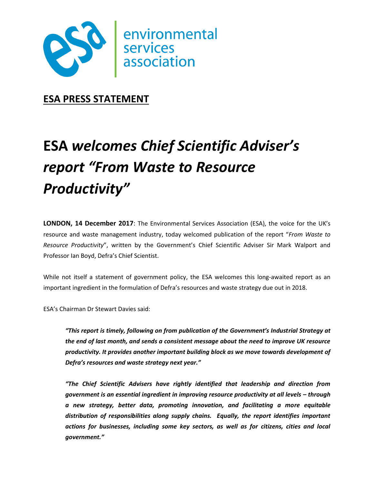

**ESA PRESS STATEMENT**

# **ESA** *welcomes Chief Scientific Adviser's report "From Waste to Resource Productivity"*

**LONDON, 14 December 2017**: The Environmental Services Association (ESA), the voice for the UK's resource and waste management industry, today welcomed publication of the report "*From Waste to Resource Productivity*", written by the Government's Chief Scientific Adviser Sir Mark Walport and Professor Ian Boyd, Defra's Chief Scientist.

While not itself a statement of government policy, the ESA welcomes this long-awaited report as an important ingredient in the formulation of Defra's resources and waste strategy due out in 2018.

ESA's Chairman Dr Stewart Davies said:

*"This report is timely, following on from publication of the Government's Industrial Strategy at the end of last month, and sends a consistent message about the need to improve UK resource productivity. It provides another important building block as we move towards development of Defra's resources and waste strategy next year."*

*"The Chief Scientific Advisers have rightly identified that leadership and direction from government is an essential ingredient in improving resource productivity at all levels – through a new strategy, better data, promoting innovation, and facilitating a more equitable distribution of responsibilities along supply chains. Equally, the report identifies important actions for businesses, including some key sectors, as well as for citizens, cities and local government."*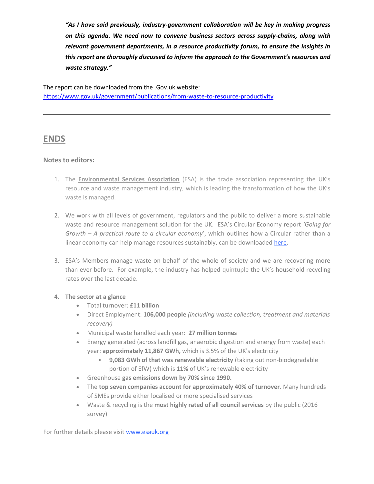*"As I have said previously, industry-government collaboration will be key in making progress on this agenda. We need now to convene business sectors across supply-chains, along with relevant government departments, in a resource productivity forum, to ensure the insights in this report are thoroughly discussed to inform the approach to the Government's resources and waste strategy."*

The report can be downloaded from the .Gov.uk website: <https://www.gov.uk/government/publications/from-waste-to-resource-productivity>

## **ENDS**

#### **Notes to editors:**

- 1. The **Environmental Services Association** (ESA) is the trade association representing the UK's resource and waste management industry, which is leading the transformation of how the UK's waste is managed.
- 2. We work with all levels of government, regulators and the public to deliver a more sustainable waste and resource management solution for the UK. ESA's Circular Economy report *'Going for Growth – A practical route to a circular economy*', which outlines how a Circular rather than a linear economy can help manage resources sustainably, can be downloade[d here.](http://www.esauk.org/esa_reports/Circular_Economy_Report_FINAL_High_Res_For_Release.pdf)
- 3. ESA's Members manage waste on behalf of the whole of society and we are recovering more than ever before. For example, the industry has helped quintuple the UK's household recycling rates over the last decade.

#### **4. The sector at a glance**

- Total turnover: **£11 billion**
- Direct Employment: **106,000 people** *(including waste collection, treatment and materials recovery)*
- Municipal waste handled each year: **27 million tonnes**
- Energy generated (across landfill gas, anaerobic digestion and energy from waste) each year: **approximately 11,867 GWh,** which is 3.5% of the UK's electricity
	- **9,083 GWh of that was renewable electricity** (taking out non-biodegradable portion of EfW) which is **11%** of UK's renewable electricity
- Greenhouse **gas emissions down by 70% since 1990.**
- The **top seven companies account for approximately 40% of turnover**. Many hundreds of SMEs provide either localised or more specialised services
- Waste & recycling is the **most highly rated of all council services** by the public (2016 survey)

For further details please visit [www.esauk.org](http://www.esauk.org/)